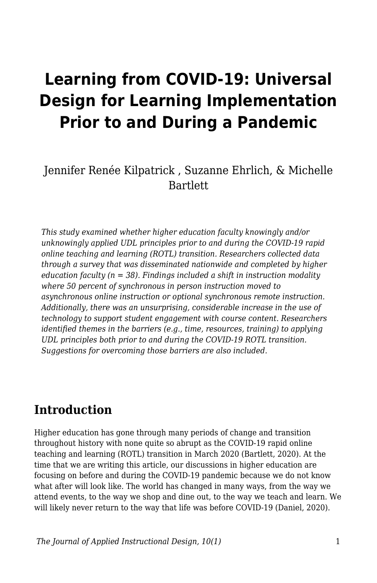# **Learning from COVID-19: Universal Design for Learning Implementation Prior to and During a Pandemic**

## Jennifer Renée Kilpatrick , Suzanne Ehrlich, & Michelle Bartlett

*This study examined whether higher education faculty knowingly and/or unknowingly applied UDL principles prior to and during the COVID-19 rapid online teaching and learning (ROTL) transition. Researchers collected data through a survey that was disseminated nationwide and completed by higher education faculty (n = 38). Findings included a shift in instruction modality where 50 percent of synchronous in person instruction moved to asynchronous online instruction or optional synchronous remote instruction. Additionally, there was an unsurprising, considerable increase in the use of technology to support student engagement with course content. Researchers identified themes in the barriers (e.g., time, resources, training) to applying UDL principles both prior to and during the COVID-19 ROTL transition. Suggestions for overcoming those barriers are also included.*

## **Introduction**

Higher education has gone through many periods of change and transition throughout history with none quite so abrupt as the COVID-19 rapid online teaching and learning (ROTL) transition in March 2020 (Bartlett, 2020). At the time that we are writing this article, our discussions in higher education are focusing on before and during the COVID-19 pandemic because we do not know what after will look like. The world has changed in many ways, from the way we attend events, to the way we shop and dine out, to the way we teach and learn. We will likely never return to the way that life was before COVID-19 (Daniel, 2020).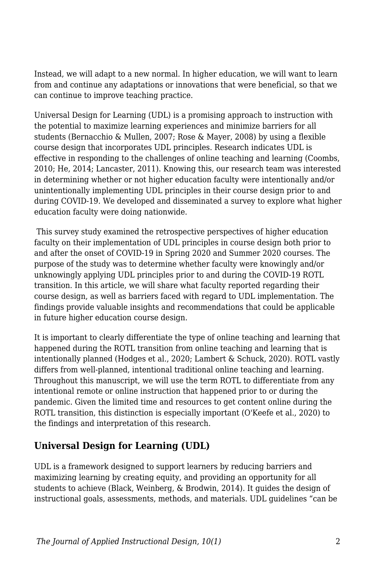Instead, we will adapt to a new normal. In higher education, we will want to learn from and continue any adaptations or innovations that were beneficial, so that we can continue to improve teaching practice.

Universal Design for Learning (UDL) is a promising approach to instruction with the potential to maximize learning experiences and minimize barriers for all students (Bernacchio & Mullen, 2007; Rose & Mayer, 2008) by using a flexible course design that incorporates UDL principles. Research indicates UDL is effective in responding to the challenges of online teaching and learning (Coombs, 2010; He, 2014; Lancaster, 2011). Knowing this, our research team was interested in determining whether or not higher education faculty were intentionally and/or unintentionally implementing UDL principles in their course design prior to and during COVID-19. We developed and disseminated a survey to explore what higher education faculty were doing nationwide.

 This survey study examined the retrospective perspectives of higher education faculty on their implementation of UDL principles in course design both prior to and after the onset of COVID-19 in Spring 2020 and Summer 2020 courses. The purpose of the study was to determine whether faculty were knowingly and/or unknowingly applying UDL principles prior to and during the COVID-19 ROTL transition. In this article, we will share what faculty reported regarding their course design, as well as barriers faced with regard to UDL implementation. The findings provide valuable insights and recommendations that could be applicable in future higher education course design.

It is important to clearly differentiate the type of online teaching and learning that happened during the ROTL transition from online teaching and learning that is intentionally planned (Hodges et al., 2020; Lambert & Schuck, 2020). ROTL vastly differs from well-planned, intentional traditional online teaching and learning. Throughout this manuscript, we will use the term ROTL to differentiate from any intentional remote or online instruction that happened prior to or during the pandemic. Given the limited time and resources to get content online during the ROTL transition, this distinction is especially important (O'Keefe et al., 2020) to the findings and interpretation of this research.

### **Universal Design for Learning (UDL)**

UDL is a framework designed to support learners by reducing barriers and maximizing learning by creating equity, and providing an opportunity for all students to achieve (Black, Weinberg, & Brodwin, 2014). It guides the design of instructional goals, assessments, methods, and materials. UDL guidelines "can be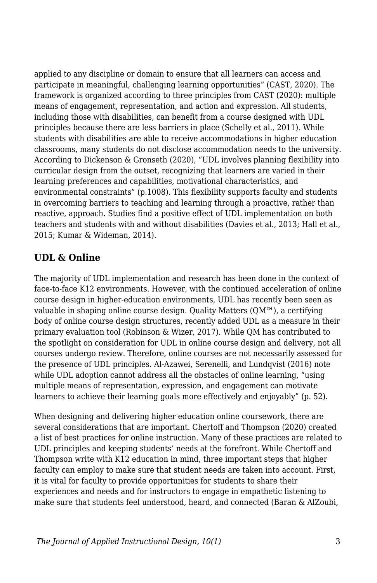applied to any discipline or domain to ensure that all learners can access and participate in meaningful, challenging learning opportunities" (CAST, 2020). The framework is organized according to three principles from CAST (2020): multiple means of engagement, representation, and action and expression. All students, including those with disabilities, can benefit from a course designed with UDL principles because there are less barriers in place (Schelly et al., 2011). While students with disabilities are able to receive accommodations in higher education classrooms, many students do not disclose accommodation needs to the university. According to Dickenson & Gronseth (2020), "UDL involves planning flexibility into curricular design from the outset, recognizing that learners are varied in their learning preferences and capabilities, motivational characteristics, and environmental constraints" (p.1008). This flexibility supports faculty and students in overcoming barriers to teaching and learning through a proactive, rather than reactive, approach. Studies find a positive effect of UDL implementation on both teachers and students with and without disabilities (Davies et al., 2013; Hall et al., 2015; Kumar & Wideman, 2014).

#### **UDL & Online**

The majority of UDL implementation and research has been done in the context of face-to-face K12 environments. However, with the continued acceleration of online course design in higher-education environments, UDL has recently been seen as valuable in shaping online course design. Quality Matters  $(QM^m)$ , a certifying body of online course design structures, recently added UDL as a measure in their primary evaluation tool (Robinson & Wizer, 2017). While QM has contributed to the spotlight on consideration for UDL in online course design and delivery, not all courses undergo review. Therefore, online courses are not necessarily assessed for the presence of UDL principles. Al-Azawei, Serenelli, and Lundqvist (2016) note while UDL adoption cannot address all the obstacles of online learning, "using multiple means of representation, expression, and engagement can motivate learners to achieve their learning goals more effectively and enjoyably" (p. 52).

When designing and delivering higher education online coursework, there are several considerations that are important. Chertoff and Thompson (2020) created a list of best practices for online instruction. Many of these practices are related to UDL principles and keeping students' needs at the forefront. While Chertoff and Thompson write with K12 education in mind, three important steps that higher faculty can employ to make sure that student needs are taken into account. First, it is vital for faculty to provide opportunities for students to share their experiences and needs and for instructors to engage in empathetic listening to make sure that students feel understood, heard, and connected (Baran & AlZoubi,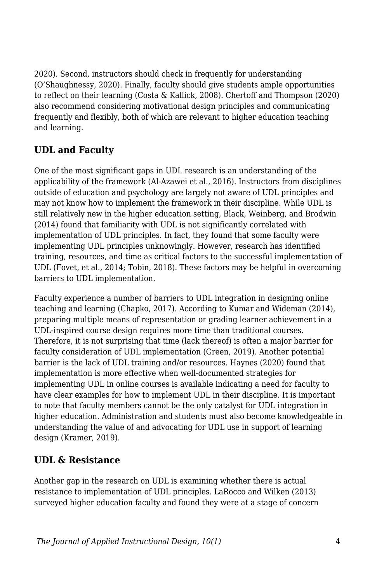2020). Second, instructors should check in frequently for understanding (O'Shaughnessy, 2020). Finally, faculty should give students ample opportunities to reflect on their learning (Costa & Kallick, 2008). Chertoff and Thompson (2020) also recommend considering motivational design principles and communicating frequently and flexibly, both of which are relevant to higher education teaching and learning.

## **UDL and Faculty**

One of the most significant gaps in UDL research is an understanding of the applicability of the framework (Al-Azawei et al., 2016). Instructors from disciplines outside of education and psychology are largely not aware of UDL principles and may not know how to implement the framework in their discipline. While UDL is still relatively new in the higher education setting, Black, Weinberg, and Brodwin (2014) found that familiarity with UDL is not significantly correlated with implementation of UDL principles. In fact, they found that some faculty were implementing UDL principles unknowingly. However, research has identified training, resources, and time as critical factors to the successful implementation of UDL (Fovet, et al., 2014; Tobin, 2018). These factors may be helpful in overcoming barriers to UDL implementation.

Faculty experience a number of barriers to UDL integration in designing online teaching and learning (Chapko, 2017). According to Kumar and Wideman (2014), preparing multiple means of representation or grading learner achievement in a UDL-inspired course design requires more time than traditional courses. Therefore, it is not surprising that time (lack thereof) is often a major barrier for faculty consideration of UDL implementation (Green, 2019). Another potential barrier is the lack of UDL training and/or resources. Haynes (2020) found that implementation is more effective when well-documented strategies for implementing UDL in online courses is available indicating a need for faculty to have clear examples for how to implement UDL in their discipline. It is important to note that faculty members cannot be the only catalyst for UDL integration in higher education. Administration and students must also become knowledgeable in understanding the value of and advocating for UDL use in support of learning design (Kramer, 2019).

### **UDL & Resistance**

Another gap in the research on UDL is examining whether there is actual resistance to implementation of UDL principles. LaRocco and Wilken (2013) surveyed higher education faculty and found they were at a stage of concern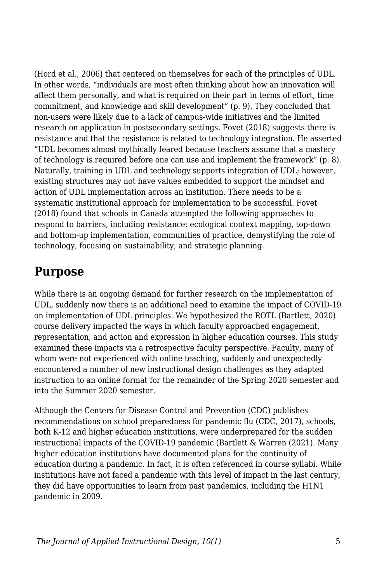(Hord et al., 2006) that centered on themselves for each of the principles of UDL. In other words, "individuals are most often thinking about how an innovation will affect them personally, and what is required on their part in terms of effort, time commitment, and knowledge and skill development" (p. 9). They concluded that non-users were likely due to a lack of campus-wide initiatives and the limited research on application in postsecondary settings. Fovet (2018) suggests there is resistance and that the resistance is related to technology integration. He asserted "UDL becomes almost mythically feared because teachers assume that a mastery of technology is required before one can use and implement the framework" (p. 8). Naturally, training in UDL and technology supports integration of UDL; however, existing structures may not have values embedded to support the mindset and action of UDL implementation across an institution. There needs to be a systematic institutional approach for implementation to be successful. Fovet (2018) found that schools in Canada attempted the following approaches to respond to barriers, including resistance: ecological context mapping, top-down and bottom-up implementation, communities of practice, demystifying the role of technology, focusing on sustainability, and strategic planning.

## **Purpose**

While there is an ongoing demand for further research on the implementation of UDL, suddenly now there is an additional need to examine the impact of COVID-19 on implementation of UDL principles. We hypothesized the ROTL (Bartlett, 2020) course delivery impacted the ways in which faculty approached engagement, representation, and action and expression in higher education courses. This study examined these impacts via a retrospective faculty perspective. Faculty, many of whom were not experienced with online teaching, suddenly and unexpectedly encountered a number of new instructional design challenges as they adapted instruction to an online format for the remainder of the Spring 2020 semester and into the Summer 2020 semester.

Although the Centers for Disease Control and Prevention (CDC) publishes recommendations on school preparedness for pandemic flu (CDC, 2017), schools, both K-12 and higher education institutions, were underprepared for the sudden instructional impacts of the COVID-19 pandemic (Bartlett & Warren (2021). Many higher education institutions have documented plans for the continuity of education during a pandemic. In fact, it is often referenced in course syllabi. While institutions have not faced a pandemic with this level of impact in the last century, they did have opportunities to learn from past pandemics, including the H1N1 pandemic in 2009.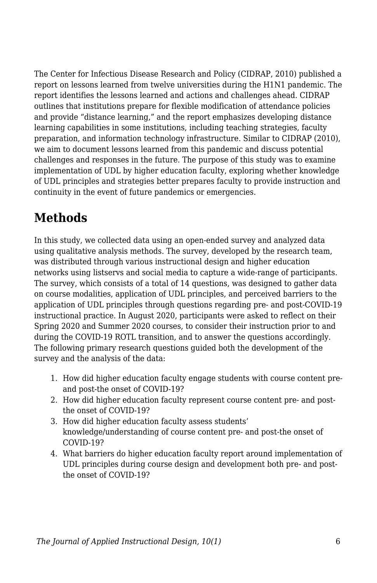The Center for Infectious Disease Research and Policy (CIDRAP, 2010) published a report on lessons learned from twelve universities during the H1N1 pandemic. The report identifies the lessons learned and actions and challenges ahead. CIDRAP outlines that institutions prepare for flexible modification of attendance policies and provide "distance learning," and the report emphasizes developing distance learning capabilities in some institutions, including teaching strategies, faculty preparation, and information technology infrastructure. Similar to CIDRAP (2010), we aim to document lessons learned from this pandemic and discuss potential challenges and responses in the future. The purpose of this study was to examine implementation of UDL by higher education faculty, exploring whether knowledge of UDL principles and strategies better prepares faculty to provide instruction and continuity in the event of future pandemics or emergencies.

# **Methods**

In this study, we collected data using an open-ended survey and analyzed data using qualitative analysis methods. The survey, developed by the research team, was distributed through various instructional design and higher education networks using listservs and social media to capture a wide-range of participants. The survey, which consists of a total of 14 questions, was designed to gather data on course modalities, application of UDL principles, and perceived barriers to the application of UDL principles through questions regarding pre- and post-COVID-19 instructional practice. In August 2020, participants were asked to reflect on their Spring 2020 and Summer 2020 courses, to consider their instruction prior to and during the COVID-19 ROTL transition, and to answer the questions accordingly. The following primary research questions guided both the development of the survey and the analysis of the data:

- 1. How did higher education faculty engage students with course content preand post-the onset of COVID-19?
- 2. How did higher education faculty represent course content pre- and postthe onset of COVID-19?
- 3. How did higher education faculty assess students' knowledge/understanding of course content pre- and post-the onset of COVID-19?
- 4. What barriers do higher education faculty report around implementation of UDL principles during course design and development both pre- and postthe onset of COVID-19?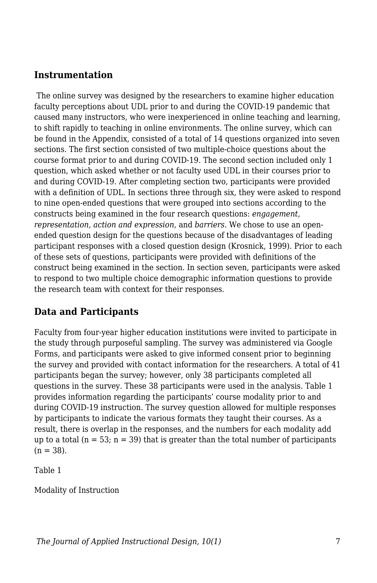#### **Instrumentation**

 The online survey was designed by the researchers to examine higher education faculty perceptions about UDL prior to and during the COVID-19 pandemic that caused many instructors, who were inexperienced in online teaching and learning, to shift rapidly to teaching in online environments. The online survey, which can be found in the Appendix, consisted of a total of 14 questions organized into seven sections. The first section consisted of two multiple-choice questions about the course format prior to and during COVID-19. The second section included only 1 question, which asked whether or not faculty used UDL in their courses prior to and during COVID-19. After completing section two, participants were provided with a definition of UDL. In sections three through six, they were asked to respond to nine open-ended questions that were grouped into sections according to the constructs being examined in the four research questions: *engagement, representation, action and expression,* and *barriers.* We chose to use an openended question design for the questions because of the disadvantages of leading participant responses with a closed question design (Krosnick, 1999). Prior to each of these sets of questions, participants were provided with definitions of the construct being examined in the section. In section seven, participants were asked to respond to two multiple choice demographic information questions to provide the research team with context for their responses.

### **Data and Participants**

Faculty from four-year higher education institutions were invited to participate in the study through purposeful sampling. The survey was administered via Google Forms, and participants were asked to give informed consent prior to beginning the survey and provided with contact information for the researchers. A total of 41 participants began the survey; however, only 38 participants completed all questions in the survey. These 38 participants were used in the analysis. Table 1 provides information regarding the participants' course modality prior to and during COVID-19 instruction. The survey question allowed for multiple responses by participants to indicate the various formats they taught their courses. As a result, there is overlap in the responses, and the numbers for each modality add up to a total  $(n = 53; n = 39)$  that is greater than the total number of participants  $(n = 38)$ .

Table 1

Modality of Instruction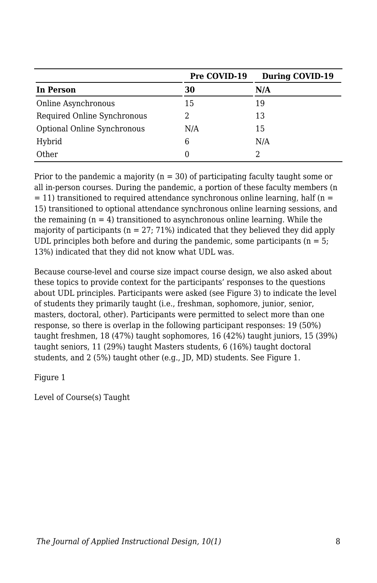|                             | Pre COVID-19 | <b>During COVID-19</b> |
|-----------------------------|--------------|------------------------|
| In Person                   | 30           | N/A                    |
| Online Asynchronous         | 15           | 19                     |
| Required Online Synchronous |              | 13                     |
| Optional Online Synchronous | N/A          | 15                     |
| Hybrid                      | 6            | N/A                    |
| Other                       | $\theta$     |                        |

Prior to the pandemic a majority ( $n = 30$ ) of participating faculty taught some or all in-person courses. During the pandemic, a portion of these faculty members (n  $= 11$ ) transitioned to required attendance synchronous online learning, half (n = 15) transitioned to optional attendance synchronous online learning sessions, and the remaining  $(n = 4)$  transitioned to asynchronous online learning. While the majority of participants ( $n = 27$ ; 71%) indicated that they believed they did apply UDL principles both before and during the pandemic, some participants ( $n = 5$ ; 13%) indicated that they did not know what UDL was.

Because course-level and course size impact course design, we also asked about these topics to provide context for the participants' responses to the questions about UDL principles. Participants were asked (see Figure 3) to indicate the level of students they primarily taught (i.e., freshman, sophomore, junior, senior, masters, doctoral, other). Participants were permitted to select more than one response, so there is overlap in the following participant responses: 19 (50%) taught freshmen, 18 (47%) taught sophomores, 16 (42%) taught juniors, 15 (39%) taught seniors, 11 (29%) taught Masters students, 6 (16%) taught doctoral students, and 2 (5%) taught other (e.g., JD, MD) students. See Figure 1.

Figure 1

Level of Course(s) Taught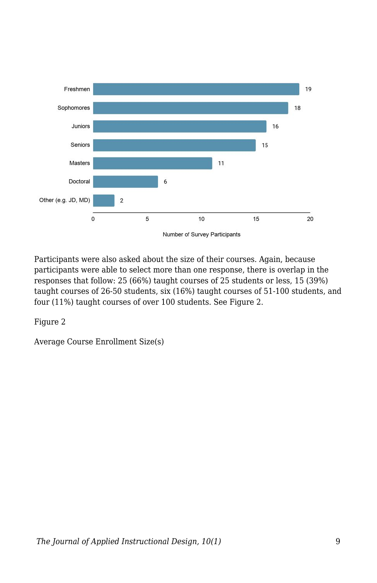

Participants were also asked about the size of their courses. Again, because participants were able to select more than one response, there is overlap in the responses that follow: 25 (66%) taught courses of 25 students or less, 15 (39%) taught courses of 26-50 students, six (16%) taught courses of 51-100 students, and four (11%) taught courses of over 100 students. See Figure 2.

Figure 2

Average Course Enrollment Size(s)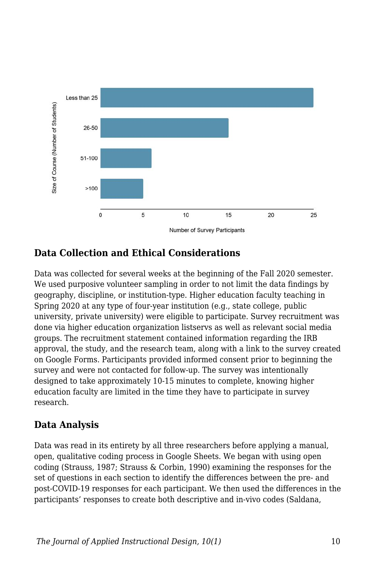

### **Data Collection and Ethical Considerations**

Data was collected for several weeks at the beginning of the Fall 2020 semester. We used purposive volunteer sampling in order to not limit the data findings by geography, discipline, or institution-type. Higher education faculty teaching in Spring 2020 at any type of four-year institution (e.g., state college, public university, private university) were eligible to participate. Survey recruitment was done via higher education organization listservs as well as relevant social media groups. The recruitment statement contained information regarding the IRB approval, the study, and the research team, along with a link to the survey created on Google Forms. Participants provided informed consent prior to beginning the survey and were not contacted for follow-up. The survey was intentionally designed to take approximately 10-15 minutes to complete, knowing higher education faculty are limited in the time they have to participate in survey research.

#### **Data Analysis**

Data was read in its entirety by all three researchers before applying a manual, open, qualitative coding process in Google Sheets. We began with using open coding (Strauss, 1987; Strauss & Corbin, 1990) examining the responses for the set of questions in each section to identify the differences between the pre- and post-COVID-19 responses for each participant. We then used the differences in the participants' responses to create both descriptive and in-vivo codes (Saldana,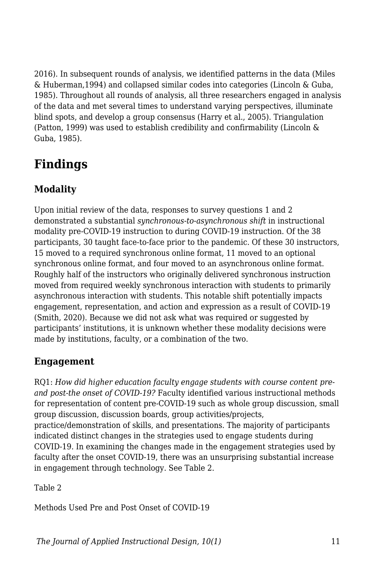2016). In subsequent rounds of analysis, we identified patterns in the data (Miles & Huberman,1994) and collapsed similar codes into categories (Lincoln & Guba, 1985). Throughout all rounds of analysis, all three researchers engaged in analysis of the data and met several times to understand varying perspectives, illuminate blind spots, and develop a group consensus (Harry et al., 2005). Triangulation (Patton, 1999) was used to establish credibility and confirmability (Lincoln & Guba, 1985).

# **Findings**

## **Modality**

Upon initial review of the data, responses to survey questions 1 and 2 demonstrated a substantial *synchronous-to-asynchronous shift* in instructional modality pre-COVID-19 instruction to during COVID-19 instruction. Of the 38 participants, 30 taught face-to-face prior to the pandemic. Of these 30 instructors, 15 moved to a required synchronous online format, 11 moved to an optional synchronous online format, and four moved to an asynchronous online format. Roughly half of the instructors who originally delivered synchronous instruction moved from required weekly synchronous interaction with students to primarily asynchronous interaction with students. This notable shift potentially impacts engagement, representation, and action and expression as a result of COVID-19 (Smith, 2020). Because we did not ask what was required or suggested by participants' institutions, it is unknown whether these modality decisions were made by institutions, faculty, or a combination of the two.

### **Engagement**

RQ1: *How did higher education faculty engage students with course content preand post-the onset of COVID-19?* Faculty identified various instructional methods for representation of content pre-COVID-19 such as whole group discussion, small group discussion, discussion boards, group activities/projects, practice/demonstration of skills, and presentations. The majority of participants indicated distinct changes in the strategies used to engage students during COVID-19. In examining the changes made in the engagement strategies used by faculty after the onset COVID-19, there was an unsurprising substantial increase in engagement through technology. See Table 2.

Table 2

Methods Used Pre and Post Onset of COVID-19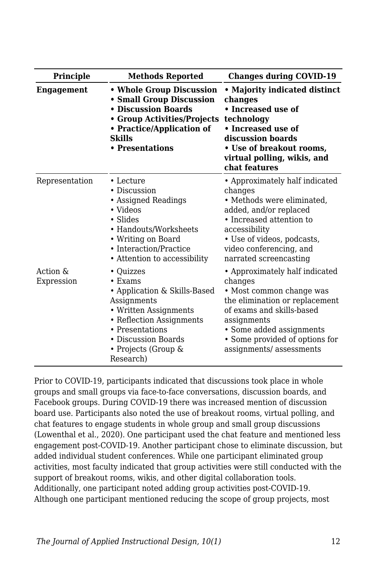| Principle              | <b>Methods Reported</b>                                                                                                                                                                                      | <b>Changes during COVID-19</b>                                                                                                                                                                                                               |
|------------------------|--------------------------------------------------------------------------------------------------------------------------------------------------------------------------------------------------------------|----------------------------------------------------------------------------------------------------------------------------------------------------------------------------------------------------------------------------------------------|
| <b>Engagement</b>      | • Whole Group Discussion<br>• Small Group Discussion<br>• Discussion Boards<br>• Group Activities/Projects<br>• Practice/Application of<br>Skills<br>• Presentations                                         | • Majority indicated distinct<br>changes<br>• Increased use of<br>technology<br>• Increased use of<br>discussion boards<br>• Use of breakout rooms,<br>virtual polling, wikis, and<br>chat features                                          |
| Representation         | $\cdot$ Lecture<br>• Discussion<br>• Assigned Readings<br>• Videos<br>• Slides<br>• Handouts/Worksheets<br>• Writing on Board<br>• Interaction/Practice<br>• Attention to accessibility                      | • Approximately half indicated<br>changes<br>• Methods were eliminated.<br>added, and/or replaced<br>• Increased attention to<br>accessibility<br>• Use of videos, podcasts,<br>video conferencing, and<br>narrated screencasting            |
| Action &<br>Expression | • Quizzes<br>$\cdot$ Exams<br>• Application & Skills-Based<br>Assignments<br>• Written Assignments<br>• Reflection Assignments<br>• Presentations<br>• Discussion Boards<br>• Projects (Group &<br>Research) | • Approximately half indicated<br>changes<br>• Most common change was<br>the elimination or replacement<br>of exams and skills-based<br>assignments<br>• Some added assignments<br>• Some provided of options for<br>assignments/assessments |

Prior to COVID-19, participants indicated that discussions took place in whole groups and small groups via face-to-face conversations, discussion boards, and Facebook groups. During COVID-19 there was increased mention of discussion board use. Participants also noted the use of breakout rooms, virtual polling, and chat features to engage students in whole group and small group discussions (Lowenthal et al., 2020). One participant used the chat feature and mentioned less engagement post-COVID-19. Another participant chose to eliminate discussion, but added individual student conferences. While one participant eliminated group activities, most faculty indicated that group activities were still conducted with the support of breakout rooms, wikis, and other digital collaboration tools. Additionally, one participant noted adding group activities post-COVID-19. Although one participant mentioned reducing the scope of group projects, most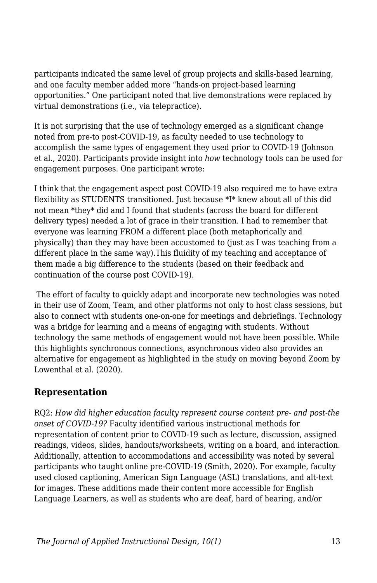participants indicated the same level of group projects and skills-based learning, and one faculty member added more "hands-on project-based learning opportunities." One participant noted that live demonstrations were replaced by virtual demonstrations (i.e., via telepractice).

It is not surprising that the use of technology emerged as a significant change noted from pre-to post-COVID-19, as faculty needed to use technology to accomplish the same types of engagement they used prior to COVID-19 (Johnson et al., 2020). Participants provide insight into *how* technology tools can be used for engagement purposes. One participant wrote:

I think that the engagement aspect post COVID-19 also required me to have extra flexibility as STUDENTS transitioned. Just because \*I\* knew about all of this did not mean \*they\* did and I found that students (across the board for different delivery types) needed a lot of grace in their transition. I had to remember that everyone was learning FROM a different place (both metaphorically and physically) than they may have been accustomed to (just as I was teaching from a different place in the same way).This fluidity of my teaching and acceptance of them made a big difference to the students (based on their feedback and continuation of the course post COVID-19).

The effort of faculty to quickly adapt and incorporate new technologies was noted in their use of Zoom, Team, and other platforms not only to host class sessions, but also to connect with students one-on-one for meetings and debriefings. Technology was a bridge for learning and a means of engaging with students. Without technology the same methods of engagement would not have been possible. While this highlights synchronous connections, asynchronous video also provides an alternative for engagement as highlighted in the study on moving beyond Zoom by Lowenthal et al. (2020).

#### **Representation**

RQ2: *How did higher education faculty represent course content pre- and post-the onset of COVID-19?* Faculty identified various instructional methods for representation of content prior to COVID-19 such as lecture, discussion, assigned readings, videos, slides, handouts/worksheets, writing on a board, and interaction. Additionally, attention to accommodations and accessibility was noted by several participants who taught online pre-COVID-19 (Smith, 2020). For example, faculty used closed captioning, American Sign Language (ASL) translations, and alt-text for images. These additions made their content more accessible for English Language Learners, as well as students who are deaf, hard of hearing, and/or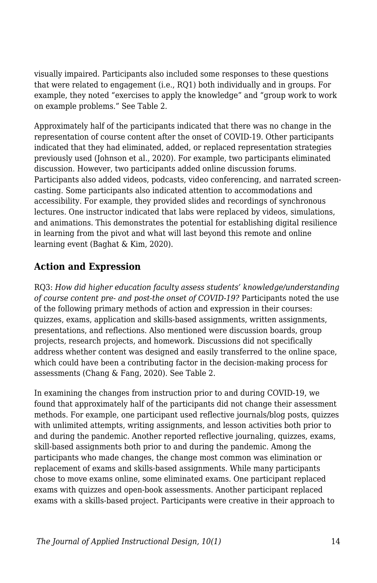visually impaired. Participants also included some responses to these questions that were related to engagement (i.e., RQ1) both individually and in groups. For example, they noted "exercises to apply the knowledge" and "group work to work on example problems." See Table 2.

Approximately half of the participants indicated that there was no change in the representation of course content after the onset of COVID-19. Other participants indicated that they had eliminated, added, or replaced representation strategies previously used (Johnson et al., 2020). For example, two participants eliminated discussion. However, two participants added online discussion forums. Participants also added videos, podcasts, video conferencing, and narrated screencasting. Some participants also indicated attention to accommodations and accessibility. For example, they provided slides and recordings of synchronous lectures. One instructor indicated that labs were replaced by videos, simulations, and animations. This demonstrates the potential for establishing digital resilience in learning from the pivot and what will last beyond this remote and online learning event (Baghat & Kim, 2020).

## **Action and Expression**

RQ3: *How did higher education faculty assess students' knowledge/understanding of course content pre- and post-the onset of COVID-19?* Participants noted the use of the following primary methods of action and expression in their courses: quizzes, exams, application and skills-based assignments, written assignments, presentations, and reflections. Also mentioned were discussion boards, group projects, research projects, and homework. Discussions did not specifically address whether content was designed and easily transferred to the online space, which could have been a contributing factor in the decision-making process for assessments (Chang & Fang, 2020). See Table 2.

In examining the changes from instruction prior to and during COVID-19, we found that approximately half of the participants did not change their assessment methods. For example, one participant used reflective journals/blog posts, quizzes with unlimited attempts, writing assignments, and lesson activities both prior to and during the pandemic. Another reported reflective journaling, quizzes, exams, skill-based assignments both prior to and during the pandemic. Among the participants who made changes, the change most common was elimination or replacement of exams and skills-based assignments. While many participants chose to move exams online, some eliminated exams. One participant replaced exams with quizzes and open-book assessments. Another participant replaced exams with a skills-based project. Participants were creative in their approach to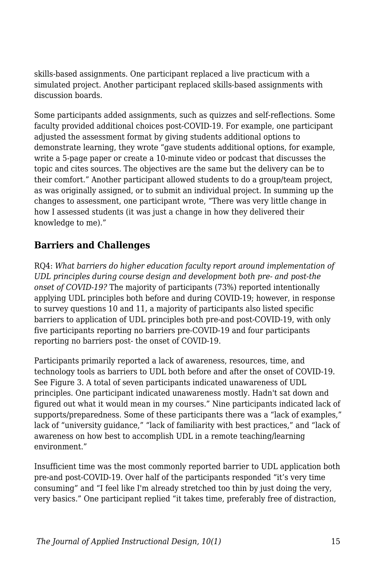skills-based assignments. One participant replaced a live practicum with a simulated project. Another participant replaced skills-based assignments with discussion boards.

Some participants added assignments, such as quizzes and self-reflections. Some faculty provided additional choices post-COVID-19. For example, one participant adjusted the assessment format by giving students additional options to demonstrate learning, they wrote "gave students additional options, for example, write a 5-page paper or create a 10-minute video or podcast that discusses the topic and cites sources. The objectives are the same but the delivery can be to their comfort." Another participant allowed students to do a group/team project, as was originally assigned, or to submit an individual project. In summing up the changes to assessment, one participant wrote, "There was very little change in how I assessed students (it was just a change in how they delivered their knowledge to me)."

#### **Barriers and Challenges**

RQ4: *What barriers do higher education faculty report around implementation of UDL principles during course design and development both pre- and post-the onset of COVID-19?* The majority of participants (73%) reported intentionally applying UDL principles both before and during COVID-19; however, in response to survey questions 10 and 11, a majority of participants also listed specific barriers to application of UDL principles both pre-and post-COVID-19, with only five participants reporting no barriers pre-COVID-19 and four participants reporting no barriers post- the onset of COVID-19.

Participants primarily reported a lack of awareness, resources, time, and technology tools as barriers to UDL both before and after the onset of COVID-19. See Figure 3. A total of seven participants indicated unawareness of UDL principles. One participant indicated unawareness mostly. Hadn't sat down and figured out what it would mean in my courses." Nine participants indicated lack of supports/preparedness. Some of these participants there was a "lack of examples," lack of "university guidance," "lack of familiarity with best practices," and "lack of awareness on how best to accomplish UDL in a remote teaching/learning environment."

Insufficient time was the most commonly reported barrier to UDL application both pre-and post-COVID-19. Over half of the participants responded "it's very time consuming" and "I feel like I'm already stretched too thin by just doing the very, very basics." One participant replied "it takes time, preferably free of distraction,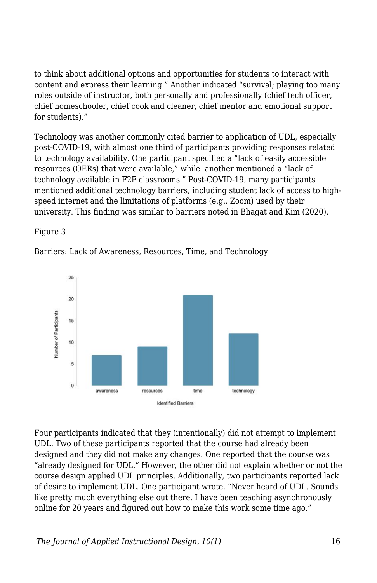to think about additional options and opportunities for students to interact with content and express their learning." Another indicated "survival; playing too many roles outside of instructor, both personally and professionally (chief tech officer, chief homeschooler, chief cook and cleaner, chief mentor and emotional support for students)."

Technology was another commonly cited barrier to application of UDL, especially post-COVID-19, with almost one third of participants providing responses related to technology availability. One participant specified a "lack of easily accessible resources (OERs) that were available," while another mentioned a "lack of technology available in F2F classrooms." Post-COVID-19, many participants mentioned additional technology barriers, including student lack of access to highspeed internet and the limitations of platforms (e.g., Zoom) used by their university. This finding was similar to barriers noted in Bhagat and Kim (2020).

#### Figure 3

Barriers: Lack of Awareness, Resources, Time, and Technology



Four participants indicated that they (intentionally) did not attempt to implement UDL. Two of these participants reported that the course had already been designed and they did not make any changes. One reported that the course was "already designed for UDL." However, the other did not explain whether or not the course design applied UDL principles. Additionally, two participants reported lack of desire to implement UDL. One participant wrote, "Never heard of UDL. Sounds like pretty much everything else out there. I have been teaching asynchronously online for 20 years and figured out how to make this work some time ago."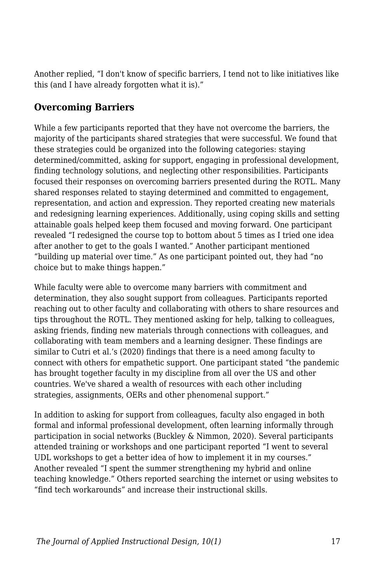Another replied, "I don't know of specific barriers, I tend not to like initiatives like this (and I have already forgotten what it is)."

#### **Overcoming Barriers**

While a few participants reported that they have not overcome the barriers, the majority of the participants shared strategies that were successful. We found that these strategies could be organized into the following categories: staying determined/committed, asking for support, engaging in professional development, finding technology solutions, and neglecting other responsibilities. Participants focused their responses on overcoming barriers presented during the ROTL. Many shared responses related to staying determined and committed to engagement, representation, and action and expression. They reported creating new materials and redesigning learning experiences. Additionally, using coping skills and setting attainable goals helped keep them focused and moving forward. One participant revealed "I redesigned the course top to bottom about 5 times as I tried one idea after another to get to the goals I wanted." Another participant mentioned "building up material over time." As one participant pointed out, they had "no choice but to make things happen."

While faculty were able to overcome many barriers with commitment and determination, they also sought support from colleagues. Participants reported reaching out to other faculty and collaborating with others to share resources and tips throughout the ROTL. They mentioned asking for help, talking to colleagues, asking friends, finding new materials through connections with colleagues, and collaborating with team members and a learning designer. These findings are similar to Cutri et al.'s (2020) findings that there is a need among faculty to connect with others for empathetic support. One participant stated "the pandemic has brought together faculty in my discipline from all over the US and other countries. We've shared a wealth of resources with each other including strategies, assignments, OERs and other phenomenal support."

In addition to asking for support from colleagues, faculty also engaged in both formal and informal professional development, often learning informally through participation in social networks (Buckley & Nimmon, 2020). Several participants attended training or workshops and one participant reported "I went to several UDL workshops to get a better idea of how to implement it in my courses." Another revealed "I spent the summer strengthening my hybrid and online teaching knowledge." Others reported searching the internet or using websites to "find tech workarounds" and increase their instructional skills.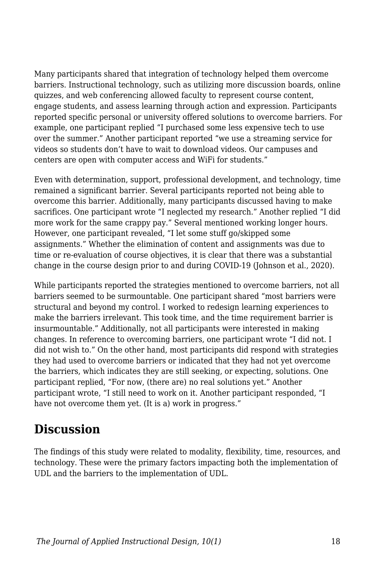Many participants shared that integration of technology helped them overcome barriers. Instructional technology, such as utilizing more discussion boards, online quizzes, and web conferencing allowed faculty to represent course content, engage students, and assess learning through action and expression. Participants reported specific personal or university offered solutions to overcome barriers. For example, one participant replied "I purchased some less expensive tech to use over the summer." Another participant reported "we use a streaming service for videos so students don't have to wait to download videos. Our campuses and centers are open with computer access and WiFi for students."

Even with determination, support, professional development, and technology, time remained a significant barrier. Several participants reported not being able to overcome this barrier. Additionally, many participants discussed having to make sacrifices. One participant wrote "I neglected my research." Another replied "I did more work for the same crappy pay." Several mentioned working longer hours. However, one participant revealed, "I let some stuff go/skipped some assignments." Whether the elimination of content and assignments was due to time or re-evaluation of course objectives, it is clear that there was a substantial change in the course design prior to and during COVID-19 (Johnson et al., 2020).

While participants reported the strategies mentioned to overcome barriers, not all barriers seemed to be surmountable. One participant shared "most barriers were structural and beyond my control. I worked to redesign learning experiences to make the barriers irrelevant. This took time, and the time requirement barrier is insurmountable." Additionally, not all participants were interested in making changes. In reference to overcoming barriers, one participant wrote "I did not. I did not wish to." On the other hand, most participants did respond with strategies they had used to overcome barriers or indicated that they had not yet overcome the barriers, which indicates they are still seeking, or expecting, solutions. One participant replied, "For now, (there are) no real solutions yet." Another participant wrote, "I still need to work on it. Another participant responded, "I have not overcome them yet. (It is a) work in progress."

## **Discussion**

The findings of this study were related to modality, flexibility, time, resources, and technology. These were the primary factors impacting both the implementation of UDL and the barriers to the implementation of UDL.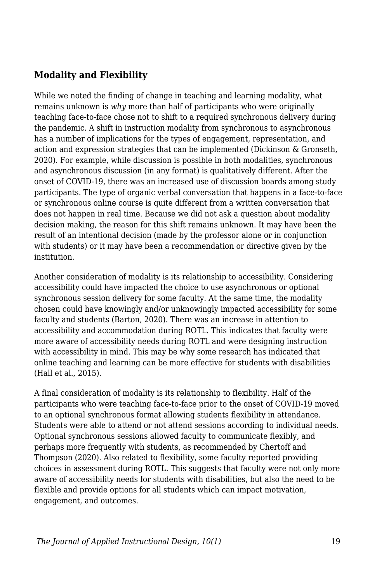### **Modality and Flexibility**

While we noted the finding of change in teaching and learning modality, what remains unknown is *why* more than half of participants who were originally teaching face-to-face chose not to shift to a required synchronous delivery during the pandemic. A shift in instruction modality from synchronous to asynchronous has a number of implications for the types of engagement, representation, and action and expression strategies that can be implemented (Dickinson & Gronseth, 2020). For example, while discussion is possible in both modalities, synchronous and asynchronous discussion (in any format) is qualitatively different. After the onset of COVID-19, there was an increased use of discussion boards among study participants. The type of organic verbal conversation that happens in a face-to-face or synchronous online course is quite different from a written conversation that does not happen in real time. Because we did not ask a question about modality decision making, the reason for this shift remains unknown. It may have been the result of an intentional decision (made by the professor alone or in conjunction with students) or it may have been a recommendation or directive given by the institution.

Another consideration of modality is its relationship to accessibility. Considering accessibility could have impacted the choice to use asynchronous or optional synchronous session delivery for some faculty. At the same time, the modality chosen could have knowingly and/or unknowingly impacted accessibility for some faculty and students (Barton, 2020). There was an increase in attention to accessibility and accommodation during ROTL. This indicates that faculty were more aware of accessibility needs during ROTL and were designing instruction with accessibility in mind. This may be why some research has indicated that online teaching and learning can be more effective for students with disabilities (Hall et al., 2015).

A final consideration of modality is its relationship to flexibility. Half of the participants who were teaching face-to-face prior to the onset of COVID-19 moved to an optional synchronous format allowing students flexibility in attendance. Students were able to attend or not attend sessions according to individual needs. Optional synchronous sessions allowed faculty to communicate flexibly, and perhaps more frequently with students, as recommended by Chertoff and Thompson (2020). Also related to flexibility, some faculty reported providing choices in assessment during ROTL. This suggests that faculty were not only more aware of accessibility needs for students with disabilities, but also the need to be flexible and provide options for all students which can impact motivation, engagement, and outcomes.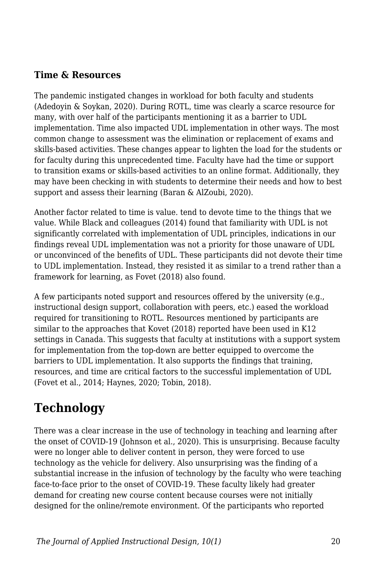#### **Time & Resources**

The pandemic instigated changes in workload for both faculty and students (Adedoyin & Soykan, 2020). During ROTL, time was clearly a scarce resource for many, with over half of the participants mentioning it as a barrier to UDL implementation. Time also impacted UDL implementation in other ways. The most common change to assessment was the elimination or replacement of exams and skills-based activities. These changes appear to lighten the load for the students or for faculty during this unprecedented time. Faculty have had the time or support to transition exams or skills-based activities to an online format. Additionally, they may have been checking in with students to determine their needs and how to best support and assess their learning (Baran & AlZoubi, 2020).

Another factor related to time is value. tend to devote time to the things that we value. While Black and colleagues (2014) found that familiarity with UDL is not significantly correlated with implementation of UDL principles, indications in our findings reveal UDL implementation was not a priority for those unaware of UDL or unconvinced of the benefits of UDL. These participants did not devote their time to UDL implementation. Instead, they resisted it as similar to a trend rather than a framework for learning, as Fovet (2018) also found.

A few participants noted support and resources offered by the university (e.g., instructional design support, collaboration with peers, etc.) eased the workload required for transitioning to ROTL. Resources mentioned by participants are similar to the approaches that Kovet (2018) reported have been used in K12 settings in Canada. This suggests that faculty at institutions with a support system for implementation from the top-down are better equipped to overcome the barriers to UDL implementation. It also supports the findings that training, resources, and time are critical factors to the successful implementation of UDL (Fovet et al., 2014; Haynes, 2020; Tobin, 2018).

# **Technology**

There was a clear increase in the use of technology in teaching and learning after the onset of COVID-19 (Johnson et al., 2020). This is unsurprising. Because faculty were no longer able to deliver content in person, they were forced to use technology as the vehicle for delivery. Also unsurprising was the finding of a substantial increase in the infusion of technology by the faculty who were teaching face-to-face prior to the onset of COVID-19. These faculty likely had greater demand for creating new course content because courses were not initially designed for the online/remote environment. Of the participants who reported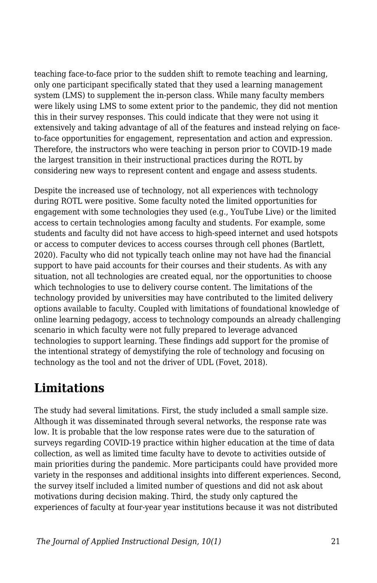teaching face-to-face prior to the sudden shift to remote teaching and learning, only one participant specifically stated that they used a learning management system (LMS) to supplement the in-person class. While many faculty members were likely using LMS to some extent prior to the pandemic, they did not mention this in their survey responses. This could indicate that they were not using it extensively and taking advantage of all of the features and instead relying on faceto-face opportunities for engagement, representation and action and expression. Therefore, the instructors who were teaching in person prior to COVID-19 made the largest transition in their instructional practices during the ROTL by considering new ways to represent content and engage and assess students.

Despite the increased use of technology, not all experiences with technology during ROTL were positive. Some faculty noted the limited opportunities for engagement with some technologies they used (e.g., YouTube Live) or the limited access to certain technologies among faculty and students. For example, some students and faculty did not have access to high-speed internet and used hotspots or access to computer devices to access courses through cell phones (Bartlett, 2020). Faculty who did not typically teach online may not have had the financial support to have paid accounts for their courses and their students. As with any situation, not all technologies are created equal, nor the opportunities to choose which technologies to use to delivery course content. The limitations of the technology provided by universities may have contributed to the limited delivery options available to faculty. Coupled with limitations of foundational knowledge of online learning pedagogy, access to technology compounds an already challenging scenario in which faculty were not fully prepared to leverage advanced technologies to support learning. These findings add support for the promise of the intentional strategy of demystifying the role of technology and focusing on technology as the tool and not the driver of UDL (Fovet, 2018).

# **Limitations**

The study had several limitations. First, the study included a small sample size. Although it was disseminated through several networks, the response rate was low. It is probable that the low response rates were due to the saturation of surveys regarding COVID-19 practice within higher education at the time of data collection, as well as limited time faculty have to devote to activities outside of main priorities during the pandemic. More participants could have provided more variety in the responses and additional insights into different experiences. Second, the survey itself included a limited number of questions and did not ask about motivations during decision making. Third, the study only captured the experiences of faculty at four-year year institutions because it was not distributed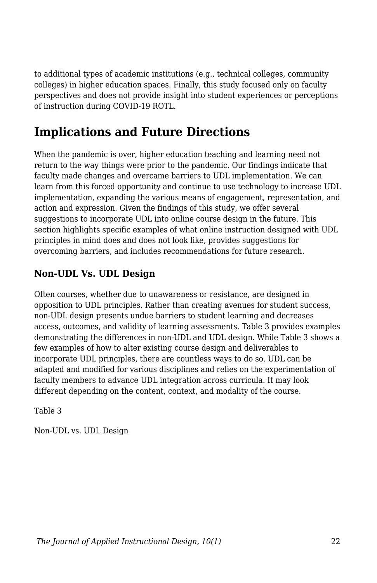to additional types of academic institutions (e.g., technical colleges, community colleges) in higher education spaces. Finally, this study focused only on faculty perspectives and does not provide insight into student experiences or perceptions of instruction during COVID-19 ROTL.

# **Implications and Future Directions**

When the pandemic is over, higher education teaching and learning need not return to the way things were prior to the pandemic. Our findings indicate that faculty made changes and overcame barriers to UDL implementation. We can learn from this forced opportunity and continue to use technology to increase UDL implementation, expanding the various means of engagement, representation, and action and expression. Given the findings of this study, we offer several suggestions to incorporate UDL into online course design in the future. This section highlights specific examples of what online instruction designed with UDL principles in mind does and does not look like, provides suggestions for overcoming barriers, and includes recommendations for future research.

### **Non-UDL Vs. UDL Design**

Often courses, whether due to unawareness or resistance, are designed in opposition to UDL principles. Rather than creating avenues for student success, non-UDL design presents undue barriers to student learning and decreases access, outcomes, and validity of learning assessments. Table 3 provides examples demonstrating the differences in non-UDL and UDL design. While Table 3 shows a few examples of how to alter existing course design and deliverables to incorporate UDL principles, there are countless ways to do so. UDL can be adapted and modified for various disciplines and relies on the experimentation of faculty members to advance UDL integration across curricula. It may look different depending on the content, context, and modality of the course.

Table 3

Non-UDL vs. UDL Design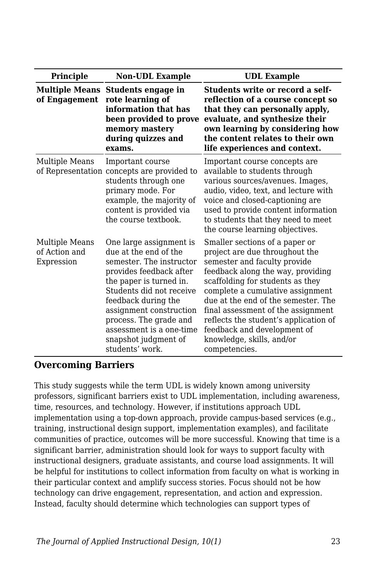| <b>Principle</b>                              | <b>Non-UDL Example</b>                                                                                                                                                                                                                                                                                            | <b>UDL</b> Example                                                                                                                                                                                                                                                                                                                                                                                               |
|-----------------------------------------------|-------------------------------------------------------------------------------------------------------------------------------------------------------------------------------------------------------------------------------------------------------------------------------------------------------------------|------------------------------------------------------------------------------------------------------------------------------------------------------------------------------------------------------------------------------------------------------------------------------------------------------------------------------------------------------------------------------------------------------------------|
| of Engagement                                 | Multiple Means Students engage in<br>rote learning of<br>information that has<br>been provided to prove<br>memory mastery<br>during quizzes and<br>exams.                                                                                                                                                         | Students write or record a self-<br>reflection of a course concept so<br>that they can personally apply,<br>evaluate, and synthesize their<br>own learning by considering how<br>the content relates to their own<br>life experiences and context.                                                                                                                                                               |
| Multiple Means                                | Important course<br>of Representation concepts are provided to<br>students through one<br>primary mode. For<br>example, the majority of<br>content is provided via<br>the course textbook.                                                                                                                        | Important course concepts are<br>available to students through<br>various sources/avenues. Images,<br>audio, video, text, and lecture with<br>voice and closed-captioning are<br>used to provide content information<br>to students that they need to meet<br>the course learning objectives.                                                                                                                    |
| Multiple Means<br>of Action and<br>Expression | One large assignment is<br>due at the end of the<br>semester. The instructor<br>provides feedback after<br>the paper is turned in.<br>Students did not receive<br>feedback during the<br>assignment construction<br>process. The grade and<br>assessment is a one-time<br>snapshot judgment of<br>students' work. | Smaller sections of a paper or<br>project are due throughout the<br>semester and faculty provide<br>feedback along the way, providing<br>scaffolding for students as they<br>complete a cumulative assignment<br>due at the end of the semester. The<br>final assessment of the assignment<br>reflects the student's application of<br>feedback and development of<br>knowledge, skills, and/or<br>competencies. |

#### **Overcoming Barriers**

This study suggests while the term UDL is widely known among university professors, significant barriers exist to UDL implementation, including awareness, time, resources, and technology. However, if institutions approach UDL implementation using a top-down approach, provide campus-based services (e.g., training, instructional design support, implementation examples), and facilitate communities of practice, outcomes will be more successful. Knowing that time is a significant barrier, administration should look for ways to support faculty with instructional designers, graduate assistants, and course load assignments. It will be helpful for institutions to collect information from faculty on what is working in their particular context and amplify success stories. Focus should not be how technology can drive engagement, representation, and action and expression. Instead, faculty should determine which technologies can support types of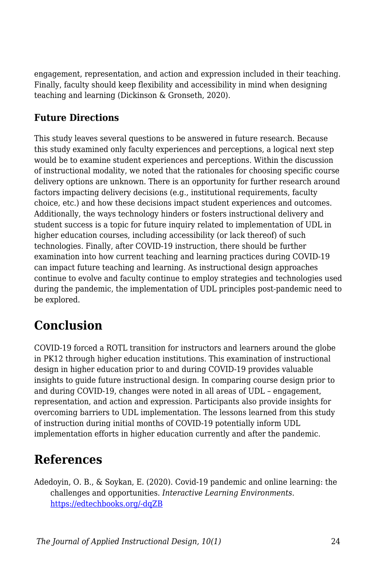engagement, representation, and action and expression included in their teaching. Finally, faculty should keep flexibility and accessibility in mind when designing teaching and learning (Dickinson & Gronseth, 2020).

## **Future Directions**

This study leaves several questions to be answered in future research. Because this study examined only faculty experiences and perceptions, a logical next step would be to examine student experiences and perceptions. Within the discussion of instructional modality, we noted that the rationales for choosing specific course delivery options are unknown. There is an opportunity for further research around factors impacting delivery decisions (e.g., institutional requirements, faculty choice, etc.) and how these decisions impact student experiences and outcomes. Additionally, the ways technology hinders or fosters instructional delivery and student success is a topic for future inquiry related to implementation of UDL in higher education courses, including accessibility (or lack thereof) of such technologies. Finally, after COVID-19 instruction, there should be further examination into how current teaching and learning practices during COVID-19 can impact future teaching and learning. As instructional design approaches continue to evolve and faculty continue to employ strategies and technologies used during the pandemic, the implementation of UDL principles post-pandemic need to be explored.

# **Conclusion**

COVID-19 forced a ROTL transition for instructors and learners around the globe in PK12 through higher education institutions. This examination of instructional design in higher education prior to and during COVID-19 provides valuable insights to guide future instructional design. In comparing course design prior to and during COVID-19, changes were noted in all areas of UDL – engagement, representation, and action and expression. Participants also provide insights for overcoming barriers to UDL implementation. The lessons learned from this study of instruction during initial months of COVID-19 potentially inform UDL implementation efforts in higher education currently and after the pandemic.

# **References**

Adedoyin, O. B., & Soykan, E. (2020). Covid-19 pandemic and online learning: the challenges and opportunities. *Interactive Learning Environments*. [https://edtechbooks.org/-dqZB](https://doi.org/10.1080/10494820.2020.1813180)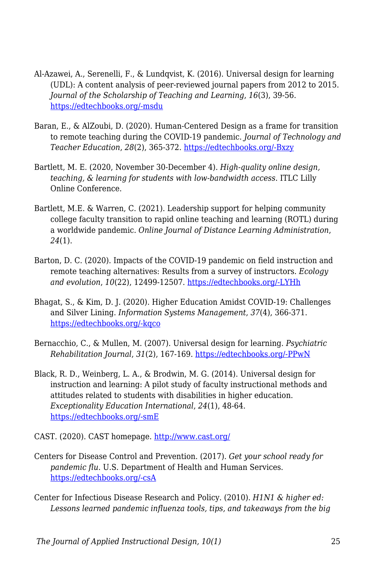- Al-Azawei, A., Serenelli, F., & Lundqvist, K. (2016). Universal design for learning (UDL): A content analysis of peer-reviewed journal papers from 2012 to 2015. *Journal of the Scholarship of Teaching and Learning*, *16*(3), 39-56. [https://edtechbooks.org/-msdu](https://doi.org/10.14434/josotl.v16i3.19295)
- Baran, E., & AlZoubi, D. (2020). Human-Centered Design as a frame for transition to remote teaching during the COVID-19 pandemic. *Journal of Technology and Teacher Education*, *28*(2), 365-372. [https://edtechbooks.org/-Bxzy](https://www.learntechlib.org/primary/p/216077/)
- Bartlett, M. E. (2020, November 30-December 4). *High-quality online design, teaching, & learning for students with low-bandwidth access*. ITLC Lilly Online Conference.
- Bartlett, M.E. & Warren, C. (2021). Leadership support for helping community college faculty transition to rapid online teaching and learning (ROTL) during a worldwide pandemic. *Online Journal of Distance Learning Administration*, *24*(1).
- Barton, D. C. (2020). Impacts of the COVID-19 pandemic on field instruction and remote teaching alternatives: Results from a survey of instructors. *Ecology and evolution*, *10*(22), 12499-12507. [https://edtechbooks.org/-LYHh](https://doi.org/10.1002/ece3.6628)
- Bhagat, S., & Kim, D. J. (2020). Higher Education Amidst COVID-19: Challenges and Silver Lining. *Information Systems Management*, *37*(4), 366-371. [https://edtechbooks.org/-kqco](https://doi.org/10.1080/10580530.2020.1824040)
- Bernacchio, C., & Mullen, M. (2007). Universal design for learning. *Psychiatric Rehabilitation Journal*, *31*(2), 167-169. [https://edtechbooks.org/-PPwN](https://psycnet.apa.org/doi/10.2975/31.2.2007.167.169)
- Black, R. D., Weinberg, L. A., & Brodwin, M. G. (2014). Universal design for instruction and learning: A pilot study of faculty instructional methods and attitudes related to students with disabilities in higher education. *Exceptionality Education International*, *24*(1), 48-64. [https://edtechbooks.org/-smE](https://doi.org/10.5206/eei.v24i1.7710)

CAST. (2020). CAST homepage.<http://www.cast.org/>

- Centers for Disease Control and Prevention. (2017). *Get your school ready for pandemic flu*. U.S. Department of Health and Human Services. [https://edtechbooks.org/-csA](https://www.cdc.gov/nonpharmaceutical-interventions/pdf/gr-pan-flu-ed-set.pdf)
- Center for Infectious Disease Research and Policy. (2010). *H1N1 & higher ed: Lessons learned pandemic influenza tools, tips, and takeaways from the big*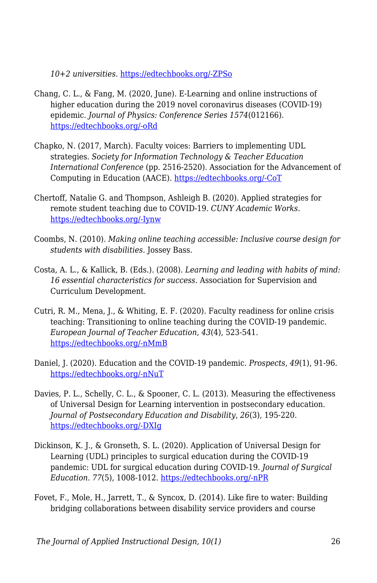*10+2 universities.* [https://edtechbooks.org/-ZPSo](https://www.cidrap.umn.edu/sites/default/files/public/downloads/big102webfinal_0.pdf)

- Chang, C. L., & Fang, M. (2020, June). E-Learning and online instructions of higher education during the 2019 novel coronavirus diseases (COVID-19) epidemic. *Journal of Physics: Conference Series 1574*(012166). [https://edtechbooks.org/-oRd](https://iopscience.iop.org/article/10.1088/1742-6596/1574/1/012166/meta)
- Chapko, N. (2017, March). Faculty voices: Barriers to implementing UDL strategies. *Society for Information Technology & Teacher Education International Conference* (pp. 2516-2520). Association for the Advancement of Computing in Education (AACE). [https://edtechbooks.org/-CoT](https://www.learntechlib.org/p/177559/)
- Chertoff, Natalie G. and Thompson, Ashleigh B. (2020). Applied strategies for remote student teaching due to COVID-19. *CUNY Academic Works.* [https://edtechbooks.org/-Iynw](https://academicworks.cuny.edu/oaa_pubs/18)
- Coombs, N. (2010). *Making online teaching accessible: Inclusive course design for students with disabilities.* Jossey Bass.
- Costa, A. L., & Kallick, B. (Eds.). (2008). *Learning and leading with habits of mind: 16 essential characteristics for success.* Association for Supervision and Curriculum Development.
- Cutri, R. M., Mena, J., & Whiting, E. F. (2020). Faculty readiness for online crisis teaching: Transitioning to online teaching during the COVID-19 pandemic. *European Journal of Teacher Education*, *43*(4), 523-541. [https://edtechbooks.org/-nMmB](https://doi.org/10.1080/02619768.2020.1815702)
- Daniel, J. (2020). Education and the COVID-19 pandemic. *Prospects*, *49*(1), 91-96. [https://edtechbooks.org/-nNuT](https://doi.org/10.1007/s11125-020-09464-3)
- Davies, P. L., Schelly, C. L., & Spooner, C. L. (2013). Measuring the effectiveness of Universal Design for Learning intervention in postsecondary education. *Journal of Postsecondary Education and Disability*, *26*(3), 195-220. [https://edtechbooks.org/-DXIg](https://eric.ed.gov/?id=EJ1026883)
- Dickinson, K. J., & Gronseth, S. L. (2020). Application of Universal Design for Learning (UDL) principles to surgical education during the COVID-19 pandemic: UDL for surgical education during COVID-19. *Journal of Surgical Education*. *77*(5), 1008-1012. [https://edtechbooks.org/-nPR](https://doi.org/10.1016/j.jsurg.2020.06.005)
- Fovet, F., Mole, H., Jarrett, T., & Syncox, D. (2014). Like fire to water: Building bridging collaborations between disability service providers and course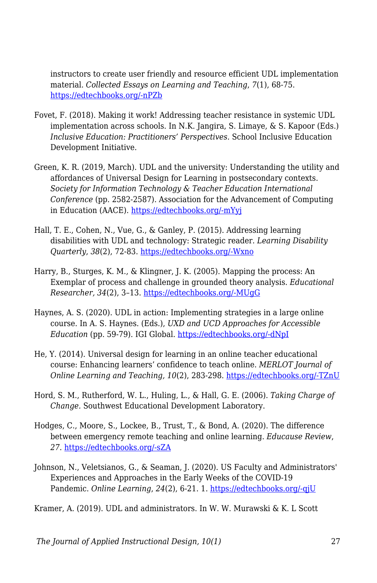instructors to create user friendly and resource efficient UDL implementation material. *Collected Essays on Learning and Teaching*, *7*(1), 68-75. [https://edtechbooks.org/-nPZb](https://doi.org/10.22329/celt.v7i1.3999)

- Fovet, F. (2018). Making it work! Addressing teacher resistance in systemic UDL implementation across schools. In N.K. Jangira, S. Limaye, & S. Kapoor (Eds.) *Inclusive Education: Practitioners' Perspectives.* School Inclusive Education Development Initiative.
- Green, K. R. (2019, March). UDL and the university: Understanding the utility and affordances of Universal Design for Learning in postsecondary contexts. *Society for Information Technology & Teacher Education International Conference* (pp. 2582-2587). Association for the Advancement of Computing in Education (AACE). [https://edtechbooks.org/-mYyj](https://www.learntechlib.org/p/208014/)
- Hall, T. E., Cohen, N., Vue, G., & Ganley, P. (2015). Addressing learning disabilities with UDL and technology: Strategic reader. *Learning Disability Quarterly*, *38*(2), 72-83. [https://edtechbooks.org/-Wxno](https://doi.org/10.1177%2F0731948714544375)
- Harry, B., Sturges, K. M., & Klingner, J. K. (2005). Mapping the process: An Exemplar of process and challenge in grounded theory analysis. *Educational Researcher, 34*(2), 3–13. [https://edtechbooks.org/-MUgG](https://doi.org/10.3102/0013189X034002003)
- Haynes, A. S. (2020). UDL in action: Implementing strategies in a large online course. In A. S. Haynes. (Eds.), *UXD and UCD Approaches for Accessible Education* (pp. 59-79). IGI Global. [https://edtechbooks.org/-dNpI](https://doi.org/10.4018/978-1-7998-2325-4.ch004)
- He, Y. (2014). Universal design for learning in an online teacher educational course: Enhancing learners' confidence to teach online. *MERLOT Journal of Online Learning and Teaching, 10*(2), 283-298. [https://edtechbooks.org/-TZnU](https://jolt.merlot.org/vol10no2/he_0614.pdf)
- Hord, S. M., Rutherford, W. L., Huling, L., & Hall, G. E. (2006). *Taking Charge of Change.* Southwest Educational Development Laboratory.
- Hodges, C., Moore, S., Lockee, B., Trust, T., & Bond, A. (2020). The difference between emergency remote teaching and online learning. *Educause Review*, *27*. [https://edtechbooks.org/-sZA](https://er.educause.edu/articles/2020/3/the-difference-between-emergency-remote-teaching-and-online-learning)
- Johnson, N., Veletsianos, G., & Seaman, J. (2020). US Faculty and Administrators' Experiences and Approaches in the Early Weeks of the COVID-19 Pandemic. *Online Learning*, *24*(2), 6-21. 1. [https://edtechbooks.org/-qjU](https://doi.org/10.24059/olj.v24i2.2285)

Kramer, A. (2019). UDL and administrators. In W. W. Murawski & K. L Scott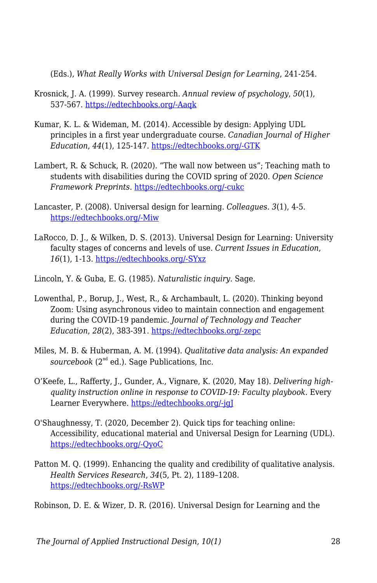(Eds.), *What Really Works with Universal Design for Learning*, 241-254.

- Krosnick, J. A. (1999). Survey research. *Annual review of psychology*, *50*(1), 537-567. [https://edtechbooks.org/-Aaqk](https://doi.org/10.1146/annurev.psych.50.1.537)
- Kumar, K. L. & Wideman, M. (2014). Accessible by design: Applying UDL principles in a first year undergraduate course. *Canadian Journal of Higher Education*, *44*(1), 125-147. [https://edtechbooks.org/-GTK](https://eric.ed.gov/?id=EJ1028772)
- Lambert, R. & Schuck, R. (2020). "The wall now between us"; Teaching math to students with disabilities during the COVID spring of 2020. *Open Science Framework Preprints.* [https://edtechbooks.org/-cukc](https://doi.org/10.31219/osf.io/xe6b2)
- Lancaster, P. (2008). Universal design for learning. *Colleagues. 3*(1), 4-5. [https://edtechbooks.org/-Miw](http://scholarworks.gvsu.edu/colleagues/vol3/iss1/5)
- LaRocco, D. J., & Wilken, D. S. (2013). Universal Design for Learning: University faculty stages of concerns and levels of use. *Current Issues in Education*, *16*(1), 1-13. [https://edtechbooks.org/-SYxz](https://cie.asu.edu/ojs/index.php/cieatasu/article/view/1319/556)
- Lincoln, Y. & Guba, E. G. (1985). *Naturalistic inquiry.* Sage.
- Lowenthal, P., Borup, J., West, R., & Archambault, L. (2020). Thinking beyond Zoom: Using asynchronous video to maintain connection and engagement during the COVID-19 pandemic. *Journal of Technology and Teacher Education*, *28*(2), 383-391. [https://edtechbooks.org/-zepc](https://www.learntechlib.org/primary/p/216192/)
- Miles, M. B. & Huberman, A. M. (1994). *Qualitative data analysis: An expanded*  $sourcebook$  ( $2<sup>nd</sup>$  ed.). Sage Publications, Inc.
- O'Keefe, L., Rafferty, J., Gunder, A., Vignare, K. (2020, May 18). *Delivering highquality instruction online in response to COVID-19: Faculty playbook.* Every Learner Everywhere. [https://edtechbooks.org/-jgJ](https://www.everylearnereverywhere.org/resources/delivering-high-quality-instruction-online-in-response-to-covid-19/)
- O'Shaughnessy, T. (2020, December 2). Quick tips for teaching online: Accessibility, educational material and Universal Design for Learning (UDL). [https://edtechbooks.org/-QyoC](https://www.ul.ie/ltf/news-centre/news/quick-tips-teaching-online-accessibility-educational-material-and-universal-design)
- Patton M. Q. (1999). Enhancing the quality and credibility of qualitative analysis. *Health Services Research*, *34*(5, Pt. 2), 1189–1208. [https://edtechbooks.org/-RsWP](https://www.ncbi.nlm.nih.gov/pmc/articles/PMC1089059/)

Robinson, D. E. & Wizer, D. R. (2016). Universal Design for Learning and the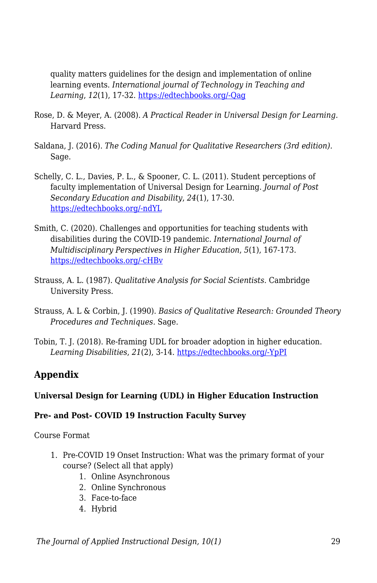quality matters guidelines for the design and implementation of online learning events. *International journal of Technology in Teaching and Learning*, *12*(1), 17-32. [https://edtechbooks.org/-Qag](https://files.eric.ed.gov/fulltext/EJ1213328.pdf)

- Rose, D. & Meyer, A. (2008). *A Practical Reader in Universal Design for Learning.* Harvard Press.
- Saldana, J. (2016). *The Coding Manual for Qualitative Researchers (3rd edition).* Sage.
- Schelly, C. L., Davies, P. L., & Spooner, C. L. (2011). Student perceptions of faculty implementation of Universal Design for Learning. *Journal of Post Secondary Education and Disability*, *24*(1), 17-30. [https://edtechbooks.org/-ndYL](https://eric.ed.gov/?id=EJ941729)
- Smith, C. (2020). Challenges and opportunities for teaching students with disabilities during the COVID-19 pandemic. *International Journal of Multidisciplinary Perspectives in Higher Education*, *5*(1), 167-173. [https://edtechbooks.org/-cHBv](https://doi.org/10.32674/jimphe.v5i1.2619)
- Strauss, A. L. (1987). *Qualitative Analysis for Social Scientists.* Cambridge University Press.
- Strauss, A. L & Corbin, J. (1990). *Basics of Qualitative Research: Grounded Theory Procedures and Techniques.* Sage.
- Tobin, T. J. (2018). Re-framing UDL for broader adoption in higher education. *Learning Disabilities*, *21*(2), 3-14. [https://edtechbooks.org/-YpPI](https://www.uduc.org/wp-content/uploads/2019/08/20181114-AHEAD-Higher-Ground-Tobin-UDL-Jedi-White-Paper.pdf)

#### **Appendix**

#### **Universal Design for Learning (UDL) in Higher Education Instruction**

#### **Pre- and Post- COVID 19 Instruction Faculty Survey**

Course Format

- 1. Pre-COVID 19 Onset Instruction: What was the primary format of your course? (Select all that apply)
	- 1. Online Asynchronous
	- 2. Online Synchronous
	- 3. Face-to-face
	- 4. Hybrid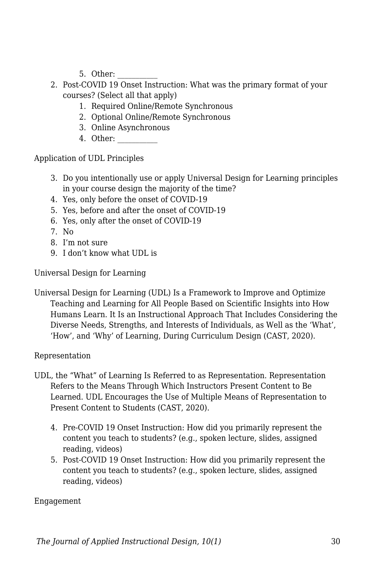- 5. Other:
- 2. Post-COVID 19 Onset Instruction: What was the primary format of your courses? (Select all that apply)
	- 1. Required Online/Remote Synchronous
	- 2. Optional Online/Remote Synchronous
	- 3. Online Asynchronous
	- 4. Other: \_\_\_\_\_\_\_\_\_\_\_

Application of UDL Principles

- 3. Do you intentionally use or apply Universal Design for Learning principles in your course design the majority of the time?
- 4. Yes, only before the onset of COVID-19
- 5. Yes, before and after the onset of COVID-19
- 6. Yes, only after the onset of COVID-19
- 7. No
- 8. I'm not sure
- 9. I don't know what UDL is

Universal Design for Learning

Universal Design for Learning (UDL) Is a Framework to Improve and Optimize Teaching and Learning for All People Based on Scientific Insights into How Humans Learn. It Is an Instructional Approach That Includes Considering the Diverse Needs, Strengths, and Interests of Individuals, as Well as the 'What', 'How', and 'Why' of Learning, During Curriculum Design (CAST, 2020).

Representation

- UDL, the "What" of Learning Is Referred to as Representation. Representation Refers to the Means Through Which Instructors Present Content to Be Learned. UDL Encourages the Use of Multiple Means of Representation to Present Content to Students (CAST, 2020).
	- 4. Pre-COVID 19 Onset Instruction: How did you primarily represent the content you teach to students? (e.g., spoken lecture, slides, assigned reading, videos)
	- 5. Post-COVID 19 Onset Instruction: How did you primarily represent the content you teach to students? (e.g., spoken lecture, slides, assigned reading, videos)

Engagement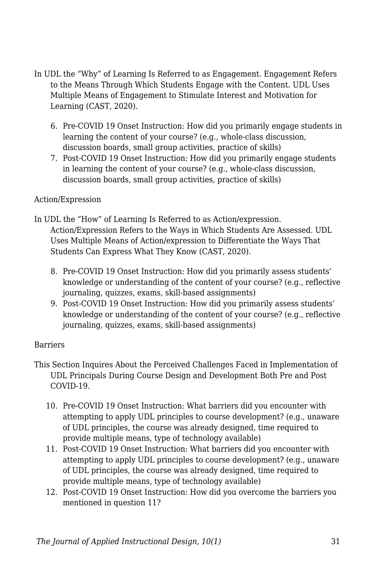- In UDL the "Why" of Learning Is Referred to as Engagement. Engagement Refers to the Means Through Which Students Engage with the Content. UDL Uses Multiple Means of Engagement to Stimulate Interest and Motivation for Learning (CAST, 2020).
	- 6. Pre-COVID 19 Onset Instruction: How did you primarily engage students in learning the content of your course? (e.g., whole-class discussion, discussion boards, small group activities, practice of skills)
	- 7. Post-COVID 19 Onset Instruction: How did you primarily engage students in learning the content of your course? (e.g., whole-class discussion, discussion boards, small group activities, practice of skills)

#### Action/Expression

- In UDL the "How" of Learning Is Referred to as Action/expression. Action/Expression Refers to the Ways in Which Students Are Assessed. UDL Uses Multiple Means of Action/expression to Differentiate the Ways That Students Can Express What They Know (CAST, 2020).
	- 8. Pre-COVID 19 Onset Instruction: How did you primarily assess students' knowledge or understanding of the content of your course? (e.g., reflective journaling, quizzes, exams, skill-based assignments)
	- 9. Post-COVID 19 Onset Instruction: How did you primarily assess students' knowledge or understanding of the content of your course? (e.g., reflective journaling, quizzes, exams, skill-based assignments)

#### Barriers

- This Section Inquires About the Perceived Challenges Faced in Implementation of UDL Principals During Course Design and Development Both Pre and Post COVID-19.
	- 10. Pre-COVID 19 Onset Instruction: What barriers did you encounter with attempting to apply UDL principles to course development? (e.g., unaware of UDL principles, the course was already designed, time required to provide multiple means, type of technology available)
	- 11. Post-COVID 19 Onset Instruction: What barriers did you encounter with attempting to apply UDL principles to course development? (e.g., unaware of UDL principles, the course was already designed, time required to provide multiple means, type of technology available)
	- 12. Post-COVID 19 Onset Instruction: How did you overcome the barriers you mentioned in question 11?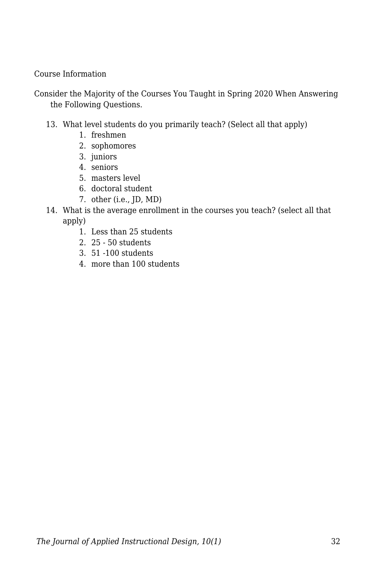Course Information

Consider the Majority of the Courses You Taught in Spring 2020 When Answering the Following Questions.

- 13. What level students do you primarily teach? (Select all that apply)
	- 1. freshmen
	- 2. sophomores
	- 3. juniors
	- 4. seniors
	- 5. masters level
	- 6. doctoral student
	- 7. other (i.e., JD, MD)
- 14. What is the average enrollment in the courses you teach? (select all that apply)
	- 1. Less than 25 students
	- 2. 25 50 students
	- 3. 51 -100 students
	- 4. more than 100 students